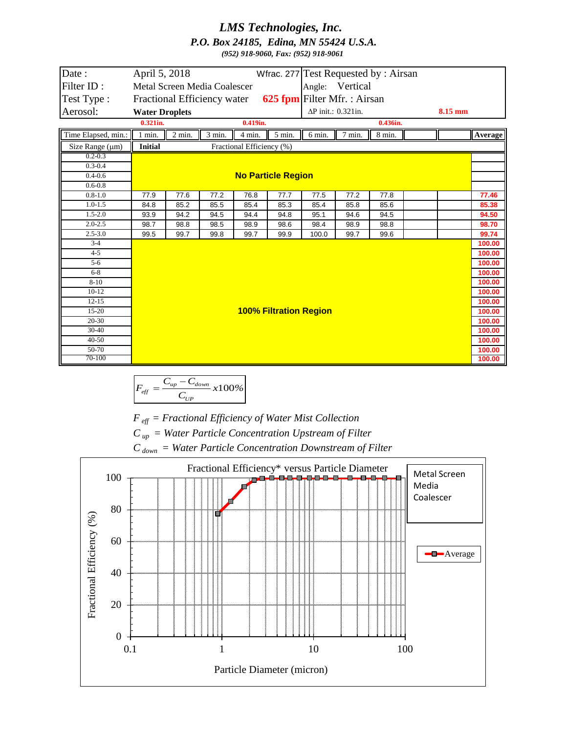## *LMS Technologies, Inc. P.O. Box 24185, Edina, MN 55424 U.S.A.*

*(952) 918-9060, Fax: (952) 918-9061*

| Date:                      | April 5, 2018                                              |               |              |              |              | Wfrac. 277 Test Requested by: Airsan |              |                     |  |         |                |
|----------------------------|------------------------------------------------------------|---------------|--------------|--------------|--------------|--------------------------------------|--------------|---------------------|--|---------|----------------|
| Filter ID:                 | Angle: Vertical<br>Metal Screen Media Coalescer            |               |              |              |              |                                      |              |                     |  |         |                |
| Test Type:                 | 625 fpm Filter Mfr.: Airsan<br>Fractional Efficiency water |               |              |              |              |                                      |              |                     |  |         |                |
| Aerosol:                   | <b>Water Droplets</b>                                      |               |              |              |              | ΔP init.: 0.321in.                   |              |                     |  | 8.15 mm |                |
|                            | $0.321$ in.                                                |               | $0.419$ in.  |              |              | $0.436$ in.                          |              |                     |  |         |                |
| Time Elapsed, min.:        | $1$ min.                                                   | $2$ min. $\,$ | 3 min.       | 4 min.       | 5 min.       | 6 min.                               | 7 min.       | $8 \ \mathrm{min.}$ |  |         | Average        |
| Size Range $(\mu m)$       | <b>Initial</b><br>Fractional Efficiency (%)                |               |              |              |              |                                      |              |                     |  |         |                |
| $0.2 - 0.3$                |                                                            |               |              |              |              |                                      |              |                     |  |         |                |
| $0.3 - 0.4$                |                                                            |               |              |              |              |                                      |              |                     |  |         |                |
| $0.4 - 0.6$                | <b>No Particle Region</b>                                  |               |              |              |              |                                      |              |                     |  |         |                |
| $0.6 - 0.8$                |                                                            |               |              |              |              |                                      |              |                     |  |         |                |
| $0.8 - 1.0$<br>$1.0 - 1.5$ | 77.9                                                       | 77.6<br>85.2  | 77.2         | 76.8         | 77.7         | 77.5<br>85.4                         | 77.2<br>85.8 | 77.8                |  |         | 77.46<br>85.38 |
| $1.5 - 2.0$                | 84.8                                                       | 94.2          | 85.5<br>94.5 | 85.4         | 85.3         | 95.1                                 |              | 85.6                |  |         | 94.50          |
| $2.0 - 2.5$                | 93.9<br>98.7                                               | 98.8          | 98.5         | 94.4<br>98.9 | 94.8<br>98.6 | 98.4                                 | 94.6<br>98.9 | 94.5<br>98.8        |  |         | 98.70          |
| $2.5 - 3.0$                | 99.5                                                       | 99.7          | 99.8         | 99.7         | 99.9         | 100.0                                | 99.7         | 99.6                |  |         | 99.74          |
| $3-4$                      |                                                            |               |              |              |              |                                      |              |                     |  |         | 100.00         |
| $4 - 5$                    |                                                            |               |              |              |              |                                      |              |                     |  |         | 100.00         |
| $5-6$                      |                                                            |               |              |              |              |                                      |              |                     |  | 100.00  |                |
| $6 - 8$                    |                                                            |               |              |              |              |                                      |              |                     |  | 100.00  |                |
| $8 - 10$                   |                                                            |               |              |              |              |                                      |              |                     |  | 100.00  |                |
| $10-12$                    |                                                            |               |              |              |              |                                      |              |                     |  |         | 100.00         |
| $12 - 15$                  |                                                            |               |              |              |              |                                      |              |                     |  | 100.00  |                |
| $15-20$                    | <b>100% Filtration Region</b>                              |               |              |              |              |                                      |              |                     |  | 100.00  |                |
| $20-30$                    |                                                            |               |              |              |              |                                      |              |                     |  |         | 100.00         |
| 30-40                      |                                                            |               |              |              |              |                                      |              |                     |  | 100.00  |                |
| $40 - 50$                  |                                                            |               |              |              |              |                                      |              |                     |  |         | 100.00         |
| 50-70<br>70-100            |                                                            |               |              |              |              |                                      |              |                     |  |         | 100.00         |
|                            |                                                            |               |              |              |              |                                      |              |                     |  |         | 100.00         |

$$
F_{\text{eff}} = \frac{C_{\text{up}} - C_{\text{down}}}{C_{\text{up}}} \times 100\%
$$

*F eff = Fractional Efficiency of Water Mist Collection*

*C up = Water Particle Concentration Upstream of Filter*

*C down = Water Particle Concentration Downstream of Filter*